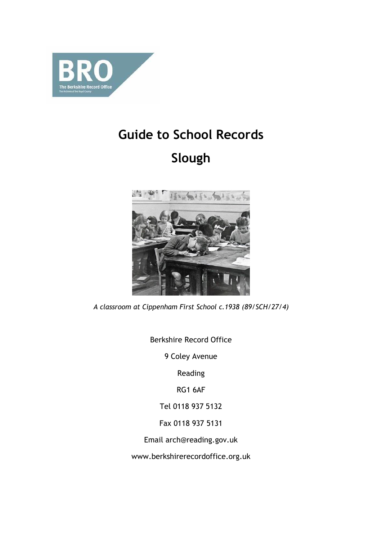

# **Guide to School Records Slough**



*A classroom at Cippenham First School c.1938 (89/SCH/27/4)*

Berkshire Record Office

9 Coley Avenue

Reading

RG1 6AF

Tel 0118 937 5132

Fax 0118 937 5131

Email arch@reading.gov.uk

www.berkshirerecordoffice.org.uk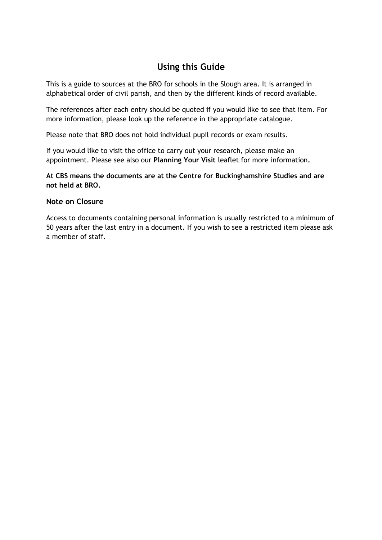# **Using this Guide**

This is a guide to sources at the BRO for schools in the Slough area. It is arranged in alphabetical order of civil parish, and then by the different kinds of record available.

The references after each entry should be quoted if you would like to see that item. For more information, please look up the reference in the appropriate catalogue.

Please note that BRO does not hold individual pupil records or exam results.

If you would like to visit the office to carry out your research, please make an appointment. Please see also our **Planning Your Visit** leaflet for more information**.**

**At CBS means the documents are at the Centre for Buckinghamshire Studies and are not held at BRO.**

# **Note on Closure**

Access to documents containing personal information is usually restricted to a minimum of 50 years after the last entry in a document. If you wish to see a restricted item please ask a member of staff.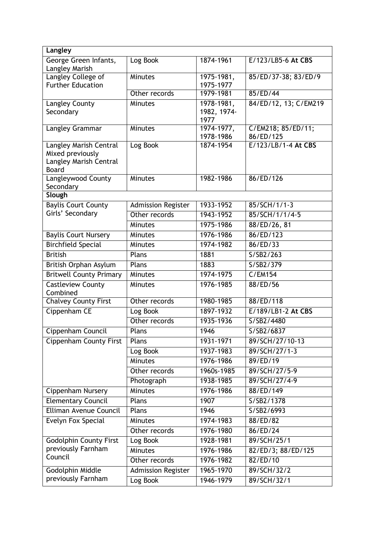| Langley                                    |                           |                         |                                 |
|--------------------------------------------|---------------------------|-------------------------|---------------------------------|
| George Green Infants,<br>Langley Marish    | Log Book                  | 1874-1961               | E/123/LB5-6 At CBS              |
| <b>Langley College of</b>                  | <b>Minutes</b>            | 1975-1981,              | 85/ED/37-38; 83/ED/9            |
| <b>Further Education</b>                   |                           | 1975-1977               |                                 |
|                                            | Other records             | 1979-1981               | 85/ED/44                        |
| Langley County                             | Minutes                   | 1978-1981,              | 84/ED/12, 13; C/EM219           |
| Secondary                                  |                           | 1982, 1974-             |                                 |
|                                            |                           | 1977                    |                                 |
| Langley Grammar                            | Minutes                   | 1974-1977,<br>1978-1986 | C/EM218; 85/ED/11;<br>86/ED/125 |
| Langley Marish Central<br>Mixed previously | Log Book                  | 1874-1954               | E/123/LB/1-4 At CBS             |
| Langley Marish Central                     |                           |                         |                                 |
| Board                                      |                           |                         |                                 |
| Langleywood County<br>Secondary            | Minutes                   | 1982-1986               | 86/ED/126                       |
| Slough                                     |                           |                         |                                 |
| <b>Baylis Court County</b>                 | <b>Admission Register</b> | 1933-1952               | 85/SCH/1/1-3                    |
| Girls' Secondary                           | Other records             | 1943-1952               | 85/SCH/1/1/4-5                  |
|                                            | <b>Minutes</b>            | 1975-1986               | 88/ED/26, 81                    |
| <b>Baylis Court Nursery</b>                | <b>Minutes</b>            | 1976-1986               | 86/ED/123                       |
| <b>Birchfield Special</b>                  | <b>Minutes</b>            | 1974-1982               | 86/ED/33                        |
| <b>British</b>                             | Plans                     | 1881                    | S/SB2/263                       |
| British Orphan Asylum                      | Plans                     | 1883                    | S/SB2/379                       |
| <b>Britwell County Primary</b>             | Minutes                   | 1974-1975               | C/EM154                         |
| <b>Castleview County</b><br>Combined       | Minutes                   | 1976-1985               | 88/ED/56                        |
| <b>Chalvey County First</b>                | Other records             | 1980-1985               | 88/ED/118                       |
| Cippenham CE                               | Log Book                  | 1897-1932               | E/189/LB1-2 At CBS              |
|                                            | Other records             | 1935-1936               | S/SB2/4480                      |
| Cippenham Council                          | Plans                     | 1946                    | S/SB2/6837                      |
| <b>Cippenham County First</b>              | Plans                     | 1931-1971               | 89/SCH/27/10-13                 |
|                                            | Log Book                  | 1937-1983               | 89/SCH/27/1-3                   |
|                                            | Minutes                   | 1976-1986               | 89/ED/19                        |
|                                            | Other records             | 1960s-1985              | 89/SCH/27/5-9                   |
|                                            | Photograph                | 1938-1985               | 89/SCH/27/4-9                   |
| Cippenham Nursery                          | Minutes                   | 1976-1986               | 88/ED/149                       |
| <b>Elementary Council</b>                  | Plans                     | 1907                    | S/SB2/1378                      |
| Elliman Avenue Council                     | Plans                     | 1946                    | S/SB2/6993                      |
| Evelyn Fox Special                         | Minutes                   | 1974-1983               | 88/ED/82                        |
|                                            | Other records             | 1976-1980               | 86/ED/24                        |
| <b>Godolphin County First</b>              | Log Book                  | 1928-1981               | 89/SCH/25/1                     |
| previously Farnham                         | <b>Minutes</b>            | 1976-1986               | 82/ED/3; 88/ED/125              |
| Council                                    | Other records             | 1976-1982               | 82/ED/10                        |
| Godolphin Middle                           | <b>Admission Register</b> | 1965-1970               | 89/SCH/32/2                     |
| previously Farnham                         | Log Book                  | 1946-1979               | 89/SCH/32/1                     |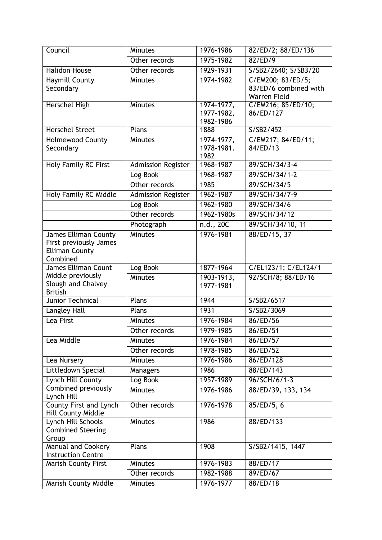| Council                                         | <b>Minutes</b>            | 1976-1986                | 82/ED/2; 88/ED/136              |
|-------------------------------------------------|---------------------------|--------------------------|---------------------------------|
|                                                 | Other records             | 1975-1982                | 82/ED/9                         |
| <b>Halidon House</b>                            | Other records             | 1929-1931                | S/SB2/2640; S/SB3/20            |
| <b>Haymill County</b>                           | <b>Minutes</b>            | 1974-1982                | C/EM200; 83/ED/5;               |
| Secondary                                       |                           |                          | 83/ED/6 combined with           |
|                                                 |                           |                          | Warren Field                    |
| Herschel High                                   | Minutes                   | 1974-1977,<br>1977-1982, | C/EM216; 85/ED/10;<br>86/ED/127 |
|                                                 |                           | 1982-1986                |                                 |
| <b>Herschel Street</b>                          | Plans                     | 1888                     | S/SB2/452                       |
| <b>Holmewood County</b>                         | <b>Minutes</b>            | 1974-1977,               | C/EM217; 84/ED/11;              |
| Secondary                                       |                           | 1978-1981.               | 84/ED/13                        |
|                                                 |                           | 1982                     |                                 |
| Holy Family RC First                            | <b>Admission Register</b> | 1968-1987                | 89/SCH/34/3-4                   |
|                                                 | Log Book                  | 1968-1987                | 89/SCH/34/1-2                   |
|                                                 | Other records             | 1985                     | 89/SCH/34/5                     |
| <b>Holy Family RC Middle</b>                    | <b>Admission Register</b> | 1962-1987                | 89/SCH/34/7-9                   |
|                                                 | Log Book                  | 1962-1980                | 89/SCH/34/6                     |
|                                                 | Other records             | 1962-1980s               | 89/SCH/34/12                    |
|                                                 | Photograph                | n.d., 20C                | 89/SCH/34/10, 11                |
| <b>James Elliman County</b>                     | <b>Minutes</b>            | 1976-1981                | 88/ED/15, 37                    |
| First previously James<br><b>Elliman County</b> |                           |                          |                                 |
| Combined                                        |                           |                          |                                 |
| James Elliman Count                             | Log Book                  | 1877-1964                | C/EL123/1; C/EL124/1            |
| Middle previously                               | Minutes                   | 1903-1913,               | 92/SCH/8; 88/ED/16              |
| Slough and Chalvey                              |                           | 1977-1981                |                                 |
| <b>British</b><br>Junior Technical              | Plans                     | 1944                     | S/SB2/6517                      |
| Langley Hall                                    | Plans                     | 1931                     | S/SB2/3069                      |
| Lea First                                       | Minutes                   | 1976-1984                | 86/ED/56                        |
|                                                 | Other records             | 1979-1985                | 86/ED/51                        |
| Lea Middle                                      | <b>Minutes</b>            | 1976-1984                | 86/ED/57                        |
|                                                 |                           | 1978-1985                | 86/ED/52                        |
|                                                 | Other records             | 1976-1986                | 86/ED/128                       |
| Lea Nursery                                     | <b>Minutes</b>            |                          |                                 |
| Littledown Special                              | Managers                  | 1986                     | 88/ED/143                       |
| Lynch Hill County<br>Combined previously        | Log Book                  | 1957-1989                | 96/SCH/6/1-3                    |
| Lynch Hill                                      | Minutes                   | 1976-1986                | 88/ED/39, 133, 134              |
| <b>County First and Lynch</b>                   | Other records             | 1976-1978                | 85/ED/5, 6                      |
| Hill County Middle                              |                           |                          |                                 |
| Lynch Hill Schools                              | <b>Minutes</b>            | 1986                     | 88/ED/133                       |
| <b>Combined Steering</b>                        |                           |                          |                                 |
| Group<br>Manual and Cookery                     | Plans                     | 1908                     | S/SB2/1415, 1447                |
| <b>Instruction Centre</b>                       |                           |                          |                                 |
| <b>Marish County First</b>                      | Minutes                   | 1976-1983                | 88/ED/17                        |
|                                                 | Other records             | 1982-1988                | 89/ED/67                        |
| Marish County Middle                            | Minutes                   | 1976-1977                | 88/ED/18                        |
|                                                 |                           |                          |                                 |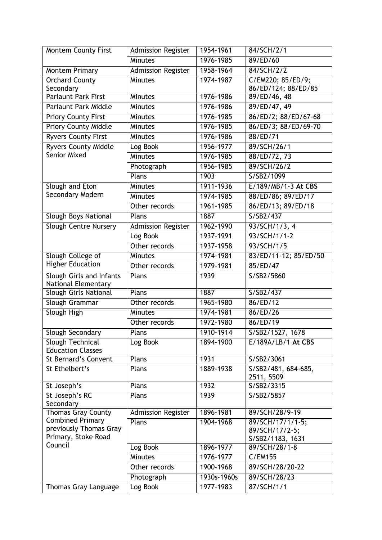| <b>Montem County First</b>                                    | <b>Admission Register</b> | 1954-1961   | 84/SCH/2/1                         |
|---------------------------------------------------------------|---------------------------|-------------|------------------------------------|
|                                                               | Minutes                   | 1976-1985   | 89/ED/60                           |
| <b>Montem Primary</b>                                         | <b>Admission Register</b> | 1958-1964   | 84/SCH/2/2                         |
| <b>Orchard County</b>                                         | <b>Minutes</b>            | 1974-1987   | C/EM220; 85/ED/9;                  |
| Secondary                                                     |                           |             | 86/ED/124; 88/ED/85                |
| <b>Parlaunt Park First</b>                                    | Minutes                   | 1976-1986   | 89/ED/46, 48                       |
| <b>Parlaunt Park Middle</b>                                   | Minutes                   | 1976-1986   | 89/ED/47, 49                       |
| <b>Priory County First</b>                                    | Minutes                   | 1976-1985   | 86/ED/2; 88/ED/67-68               |
| <b>Priory County Middle</b>                                   | Minutes                   | 1976-1985   | 86/ED/3; 88/ED/69-70               |
| <b>Ryvers County First</b>                                    | Minutes                   | 1976-1986   | 88/ED/71                           |
| <b>Ryvers County Middle</b>                                   | Log Book                  | 1956-1977   | 89/SCH/26/1                        |
| <b>Senior Mixed</b>                                           | Minutes                   | 1976-1985   | 88/ED/72, 73                       |
|                                                               | Photograph                | 1956-1985   | 89/SCH/26/2                        |
|                                                               | Plans                     | 1903        | S/SB2/1099                         |
| Slough and Eton                                               | Minutes                   | 1911-1936   | E/189/MB/1-3 At CBS                |
| Secondary Modern                                              | <b>Minutes</b>            | 1974-1985   | 88/ED/86; 89/ED/17                 |
|                                                               | Other records             | 1961-1985   | 86/ED/13; 89/ED/18                 |
| <b>Slough Boys National</b>                                   | Plans                     | 1887        | S/SB2/437                          |
| Slough Centre Nursery                                         | <b>Admission Register</b> | 1962-1990   | 93/SCH/1/3, 4                      |
|                                                               | Log Book                  | 1937-1991   | 93/SCH/1/1-2                       |
|                                                               | Other records             | 1937-1958   | 93/SCH/1/5                         |
| Slough College of                                             | <b>Minutes</b>            | 1974-1981   | 83/ED/11-12; 85/ED/50              |
| <b>Higher Education</b>                                       | Other records             | 1979-1981   | 85/ED/47                           |
| <b>Slough Girls and Infants</b><br><b>National Elementary</b> | Plans                     | 1939        | S/SB2/5860                         |
| Slough Girls National                                         | Plans                     | 1887        | S/SB2/437                          |
| Slough Grammar                                                | Other records             | 1965-1980   | 86/ED/12                           |
| Slough High                                                   | Minutes                   | 1974-1981   | 86/ED/26                           |
|                                                               | Other records             | 1972-1980   | 86/ED/19                           |
| Slough Secondary                                              | Plans                     | 1910-1914   | S/SB2/1527, 1678                   |
| Slough Technical<br><b>Education Classes</b>                  | Log Book                  | 1894-1900   | E/189A/LB/1 At CBS                 |
| St Bernard's Convent                                          | Plans                     | 1931        | S/SB2/3061                         |
| St Ethelbert's                                                | Plans                     | 1889-1938   | S/SB2/481, 684-685,                |
|                                                               |                           |             | 2511, 5509                         |
| St Joseph's                                                   | Plans                     | 1932        | S/SB2/3315                         |
| St Joseph's RC                                                | Plans                     | 1939        | S/SB2/5857                         |
| Secondary                                                     |                           |             |                                    |
| <b>Thomas Gray County</b><br><b>Combined Primary</b>          | <b>Admission Register</b> | 1896-1981   | 89/SCH/28/9-19                     |
| previously Thomas Gray                                        | Plans                     | 1904-1968   | 89/SCH/17/1/1-5;                   |
| Primary, Stoke Road                                           |                           |             | 89/SCH/17/2-5;<br>S/SB2/1183, 1631 |
| Council                                                       | Log Book                  | 1896-1977   | 89/SCH/28/1-8                      |
|                                                               | <b>Minutes</b>            | 1976-1977   | C/EM155                            |
|                                                               | Other records             | 1900-1968   | 89/SCH/28/20-22                    |
|                                                               | Photograph                | 1930s-1960s | 89/SCH/28/23                       |
| Thomas Gray Language                                          | Log Book                  | 1977-1983   | 87/SCH/1/1                         |
|                                                               |                           |             |                                    |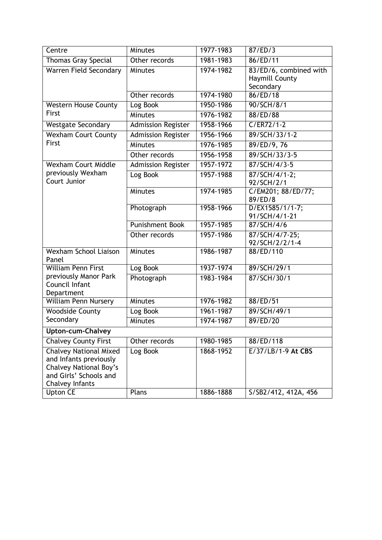| Minutes<br>1977-1983<br>87/ED/3<br>Centre<br>86/ED/11<br>1981-1983<br><b>Thomas Gray Special</b><br>Other records<br><b>Warren Field Secondary</b><br>1974-1982<br>83/ED/6, combined with<br><b>Minutes</b><br><b>Haymill County</b><br>Secondary<br>1974-1980<br>86/ED/18<br>Other records<br><b>Western House County</b><br>Log Book<br>1950-1986<br>90/SCH/8/1<br>First<br>Minutes<br>1976-1982<br>88/ED/88<br>$C/ER72/1-2$<br>1958-1966<br><b>Westgate Secondary</b><br>Admission Register<br><b>Wexham Court County</b><br><b>Admission Register</b><br>89/SCH/33/1-2<br>1956-1966<br>First<br>Minutes<br>1976-1985<br>89/ED/9, 76<br>89/SCH/33/3-5<br>1956-1958<br>Other records<br>87/SCH/4/3-5<br><b>Wexham Court Middle</b><br>1957-1972<br><b>Admission Register</b><br>previously Wexham<br>87/SCH/4/1-2;<br>Log Book<br>1957-1988<br>Court Junior<br>92/SCH/2/1<br>1974-1985<br>Minutes<br>C/EM201; 88/ED/77;<br>89/ED/8<br>$D/EX1585/1/1-7;$<br>Photograph<br>1958-1966<br>91/SCH/4/1-21<br>Punishment Book<br>1957-1985<br>87/SCH/4/6<br>87/SCH/4/7-25;<br>Other records<br>1957-1986<br>92/SCH/2/2/1-4<br><b>Wexham School Liaison</b><br>1986-1987<br>88/ED/110<br><b>Minutes</b><br>Panel<br><b>William Penn First</b><br>Log Book<br>1937-1974<br>89/SCH/29/1<br>previously Manor Park<br>87/SCH/30/1<br>Photograph<br>1983-1984<br>Council Infant<br>Department<br>1976-1982<br><b>William Penn Nursery</b><br>88/ED/51<br><b>Minutes</b><br>89/SCH/49/1<br><b>Woodside County</b><br>Log Book<br>1961-1987<br>Secondary<br>1974-1987<br>89/ED/20<br><b>Minutes</b><br>Upton-cum-Chalvey<br><b>Chalvey County First</b><br>1980-1985<br>88/ED/118<br>Other records<br>E/37/LB/1-9 At CBS<br><b>Chalvey National Mixed</b><br>Log Book<br>1868-1952<br>and Infants previously<br><b>Chalvey National Boy's</b> |                        |  |  |
|----------------------------------------------------------------------------------------------------------------------------------------------------------------------------------------------------------------------------------------------------------------------------------------------------------------------------------------------------------------------------------------------------------------------------------------------------------------------------------------------------------------------------------------------------------------------------------------------------------------------------------------------------------------------------------------------------------------------------------------------------------------------------------------------------------------------------------------------------------------------------------------------------------------------------------------------------------------------------------------------------------------------------------------------------------------------------------------------------------------------------------------------------------------------------------------------------------------------------------------------------------------------------------------------------------------------------------------------------------------------------------------------------------------------------------------------------------------------------------------------------------------------------------------------------------------------------------------------------------------------------------------------------------------------------------------------------------------------------------------------------------------------------------------------------------------------------------|------------------------|--|--|
|                                                                                                                                                                                                                                                                                                                                                                                                                                                                                                                                                                                                                                                                                                                                                                                                                                                                                                                                                                                                                                                                                                                                                                                                                                                                                                                                                                                                                                                                                                                                                                                                                                                                                                                                                                                                                                  |                        |  |  |
|                                                                                                                                                                                                                                                                                                                                                                                                                                                                                                                                                                                                                                                                                                                                                                                                                                                                                                                                                                                                                                                                                                                                                                                                                                                                                                                                                                                                                                                                                                                                                                                                                                                                                                                                                                                                                                  |                        |  |  |
|                                                                                                                                                                                                                                                                                                                                                                                                                                                                                                                                                                                                                                                                                                                                                                                                                                                                                                                                                                                                                                                                                                                                                                                                                                                                                                                                                                                                                                                                                                                                                                                                                                                                                                                                                                                                                                  |                        |  |  |
|                                                                                                                                                                                                                                                                                                                                                                                                                                                                                                                                                                                                                                                                                                                                                                                                                                                                                                                                                                                                                                                                                                                                                                                                                                                                                                                                                                                                                                                                                                                                                                                                                                                                                                                                                                                                                                  |                        |  |  |
|                                                                                                                                                                                                                                                                                                                                                                                                                                                                                                                                                                                                                                                                                                                                                                                                                                                                                                                                                                                                                                                                                                                                                                                                                                                                                                                                                                                                                                                                                                                                                                                                                                                                                                                                                                                                                                  |                        |  |  |
|                                                                                                                                                                                                                                                                                                                                                                                                                                                                                                                                                                                                                                                                                                                                                                                                                                                                                                                                                                                                                                                                                                                                                                                                                                                                                                                                                                                                                                                                                                                                                                                                                                                                                                                                                                                                                                  |                        |  |  |
|                                                                                                                                                                                                                                                                                                                                                                                                                                                                                                                                                                                                                                                                                                                                                                                                                                                                                                                                                                                                                                                                                                                                                                                                                                                                                                                                                                                                                                                                                                                                                                                                                                                                                                                                                                                                                                  |                        |  |  |
|                                                                                                                                                                                                                                                                                                                                                                                                                                                                                                                                                                                                                                                                                                                                                                                                                                                                                                                                                                                                                                                                                                                                                                                                                                                                                                                                                                                                                                                                                                                                                                                                                                                                                                                                                                                                                                  |                        |  |  |
|                                                                                                                                                                                                                                                                                                                                                                                                                                                                                                                                                                                                                                                                                                                                                                                                                                                                                                                                                                                                                                                                                                                                                                                                                                                                                                                                                                                                                                                                                                                                                                                                                                                                                                                                                                                                                                  |                        |  |  |
|                                                                                                                                                                                                                                                                                                                                                                                                                                                                                                                                                                                                                                                                                                                                                                                                                                                                                                                                                                                                                                                                                                                                                                                                                                                                                                                                                                                                                                                                                                                                                                                                                                                                                                                                                                                                                                  |                        |  |  |
|                                                                                                                                                                                                                                                                                                                                                                                                                                                                                                                                                                                                                                                                                                                                                                                                                                                                                                                                                                                                                                                                                                                                                                                                                                                                                                                                                                                                                                                                                                                                                                                                                                                                                                                                                                                                                                  |                        |  |  |
|                                                                                                                                                                                                                                                                                                                                                                                                                                                                                                                                                                                                                                                                                                                                                                                                                                                                                                                                                                                                                                                                                                                                                                                                                                                                                                                                                                                                                                                                                                                                                                                                                                                                                                                                                                                                                                  |                        |  |  |
|                                                                                                                                                                                                                                                                                                                                                                                                                                                                                                                                                                                                                                                                                                                                                                                                                                                                                                                                                                                                                                                                                                                                                                                                                                                                                                                                                                                                                                                                                                                                                                                                                                                                                                                                                                                                                                  |                        |  |  |
|                                                                                                                                                                                                                                                                                                                                                                                                                                                                                                                                                                                                                                                                                                                                                                                                                                                                                                                                                                                                                                                                                                                                                                                                                                                                                                                                                                                                                                                                                                                                                                                                                                                                                                                                                                                                                                  |                        |  |  |
|                                                                                                                                                                                                                                                                                                                                                                                                                                                                                                                                                                                                                                                                                                                                                                                                                                                                                                                                                                                                                                                                                                                                                                                                                                                                                                                                                                                                                                                                                                                                                                                                                                                                                                                                                                                                                                  |                        |  |  |
|                                                                                                                                                                                                                                                                                                                                                                                                                                                                                                                                                                                                                                                                                                                                                                                                                                                                                                                                                                                                                                                                                                                                                                                                                                                                                                                                                                                                                                                                                                                                                                                                                                                                                                                                                                                                                                  |                        |  |  |
|                                                                                                                                                                                                                                                                                                                                                                                                                                                                                                                                                                                                                                                                                                                                                                                                                                                                                                                                                                                                                                                                                                                                                                                                                                                                                                                                                                                                                                                                                                                                                                                                                                                                                                                                                                                                                                  |                        |  |  |
|                                                                                                                                                                                                                                                                                                                                                                                                                                                                                                                                                                                                                                                                                                                                                                                                                                                                                                                                                                                                                                                                                                                                                                                                                                                                                                                                                                                                                                                                                                                                                                                                                                                                                                                                                                                                                                  |                        |  |  |
|                                                                                                                                                                                                                                                                                                                                                                                                                                                                                                                                                                                                                                                                                                                                                                                                                                                                                                                                                                                                                                                                                                                                                                                                                                                                                                                                                                                                                                                                                                                                                                                                                                                                                                                                                                                                                                  |                        |  |  |
|                                                                                                                                                                                                                                                                                                                                                                                                                                                                                                                                                                                                                                                                                                                                                                                                                                                                                                                                                                                                                                                                                                                                                                                                                                                                                                                                                                                                                                                                                                                                                                                                                                                                                                                                                                                                                                  |                        |  |  |
|                                                                                                                                                                                                                                                                                                                                                                                                                                                                                                                                                                                                                                                                                                                                                                                                                                                                                                                                                                                                                                                                                                                                                                                                                                                                                                                                                                                                                                                                                                                                                                                                                                                                                                                                                                                                                                  |                        |  |  |
|                                                                                                                                                                                                                                                                                                                                                                                                                                                                                                                                                                                                                                                                                                                                                                                                                                                                                                                                                                                                                                                                                                                                                                                                                                                                                                                                                                                                                                                                                                                                                                                                                                                                                                                                                                                                                                  |                        |  |  |
|                                                                                                                                                                                                                                                                                                                                                                                                                                                                                                                                                                                                                                                                                                                                                                                                                                                                                                                                                                                                                                                                                                                                                                                                                                                                                                                                                                                                                                                                                                                                                                                                                                                                                                                                                                                                                                  |                        |  |  |
|                                                                                                                                                                                                                                                                                                                                                                                                                                                                                                                                                                                                                                                                                                                                                                                                                                                                                                                                                                                                                                                                                                                                                                                                                                                                                                                                                                                                                                                                                                                                                                                                                                                                                                                                                                                                                                  |                        |  |  |
|                                                                                                                                                                                                                                                                                                                                                                                                                                                                                                                                                                                                                                                                                                                                                                                                                                                                                                                                                                                                                                                                                                                                                                                                                                                                                                                                                                                                                                                                                                                                                                                                                                                                                                                                                                                                                                  |                        |  |  |
|                                                                                                                                                                                                                                                                                                                                                                                                                                                                                                                                                                                                                                                                                                                                                                                                                                                                                                                                                                                                                                                                                                                                                                                                                                                                                                                                                                                                                                                                                                                                                                                                                                                                                                                                                                                                                                  |                        |  |  |
|                                                                                                                                                                                                                                                                                                                                                                                                                                                                                                                                                                                                                                                                                                                                                                                                                                                                                                                                                                                                                                                                                                                                                                                                                                                                                                                                                                                                                                                                                                                                                                                                                                                                                                                                                                                                                                  |                        |  |  |
|                                                                                                                                                                                                                                                                                                                                                                                                                                                                                                                                                                                                                                                                                                                                                                                                                                                                                                                                                                                                                                                                                                                                                                                                                                                                                                                                                                                                                                                                                                                                                                                                                                                                                                                                                                                                                                  |                        |  |  |
|                                                                                                                                                                                                                                                                                                                                                                                                                                                                                                                                                                                                                                                                                                                                                                                                                                                                                                                                                                                                                                                                                                                                                                                                                                                                                                                                                                                                                                                                                                                                                                                                                                                                                                                                                                                                                                  |                        |  |  |
|                                                                                                                                                                                                                                                                                                                                                                                                                                                                                                                                                                                                                                                                                                                                                                                                                                                                                                                                                                                                                                                                                                                                                                                                                                                                                                                                                                                                                                                                                                                                                                                                                                                                                                                                                                                                                                  | and Girls' Schools and |  |  |
| Chalvey Infants                                                                                                                                                                                                                                                                                                                                                                                                                                                                                                                                                                                                                                                                                                                                                                                                                                                                                                                                                                                                                                                                                                                                                                                                                                                                                                                                                                                                                                                                                                                                                                                                                                                                                                                                                                                                                  |                        |  |  |
| <b>Upton CE</b><br>1886-1888<br>Plans<br>S/SB2/412, 412A, 456                                                                                                                                                                                                                                                                                                                                                                                                                                                                                                                                                                                                                                                                                                                                                                                                                                                                                                                                                                                                                                                                                                                                                                                                                                                                                                                                                                                                                                                                                                                                                                                                                                                                                                                                                                    |                        |  |  |